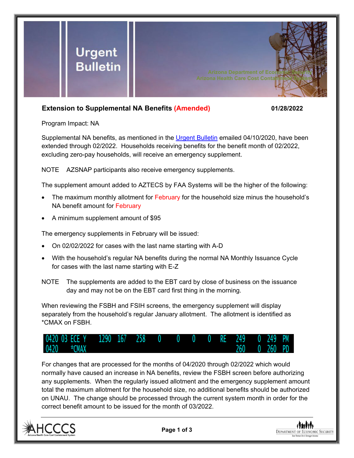

## **Extension to Supplemental NA Benefits (Amended) 01/28/2022**

Program Impact: NA

Supplemental NA benefits, as mentioned in the [Urgent Bulletin](https://dbmefaapolicy.azdes.gov/FAA5/baggage/Urgent%20Bulletin%20(04-10-2020)%20-%20Supplemental%20Nutrition%20Assistance%20Benefits%20for%20Participants.pdf) emailed 04/10/2020, have been extended through 02/2022. Households receiving benefits for the benefit month of 02/2022, excluding zero-pay households, will receive an emergency supplement.

NOTE AZSNAP participants also receive emergency supplements.

The supplement amount added to AZTECS by FAA Systems will be the higher of the following:

- The maximum monthly allotment for February for the household size minus the household's NA benefit amount for February
- A minimum supplement amount of \$95

The emergency supplements in February will be issued:

- On 02/02/2022 for cases with the last name starting with A-D
- With the household's regular NA benefits during the normal NA Monthly Issuance Cycle for cases with the last name starting with E-Z
- NOTE The supplements are added to the EBT card by close of business on the issuance day and may not be on the EBT card first thing in the morning.

When reviewing the FSBH and FSIH screens, the emergency supplement will display separately from the household's regular January allotment. The allotment is identified as \*CMAX on FSBH.



For changes that are processed for the months of 04/2020 through 02/2022 which would normally have caused an increase in NA benefits, review the FSBH screen before authorizing any supplements. When the regularly issued allotment and the emergency supplement amount total the maximum allotment for the household size, no additional benefits should be authorized on UNAU. The change should be processed through the current system month in order for the correct benefit amount to be issued for the month of 03/2022.



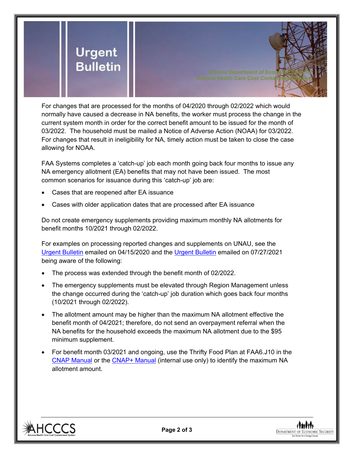

For changes that are processed for the months of 04/2020 through 02/2022 which would normally have caused a decrease in NA benefits, the worker must process the change in the current system month in order for the correct benefit amount to be issued for the month of 03/2022. The household must be mailed a Notice of Adverse Action (NOAA) for 03/2022. For changes that result in ineligibility for NA, timely action must be taken to close the case allowing for NOAA.

FAA Systems completes a 'catch-up' job each month going back four months to issue any NA emergency allotment (EA) benefits that may not have been issued. The most common scenarios for issuance during this 'catch-up' job are:

- Cases that are reopened after EA issuance
- Cases with older application dates that are processed after EA issuance

Do not create emergency supplements providing maximum monthly NA allotments for benefit months 10/2021 through 02/2022.

For examples on processing reported changes and supplements on UNAU, see the [Urgent Bulletin](https://dbmefaapolicy.azdes.gov/Archived_policy/baggage/Urgent%20Bulletin%20(04-15-2020)%20-%20Reported%20Changes%20and%20Supplements%20on%20UNAU.pdf) emailed on 04/15/2020 and the [Urgent Bulletin](https://dbmefaapolicy.azdes.gov/Archived_Policy/baggage/Urgent%20Bulletin%20(07-27-2021)%20-%20EA%20$95%20Minimum%20Clarification.pdf) emailed on 07/27/2021 being aware of the following:

- The process was extended through the benefit month of 02/2022.
- The emergency supplements must be elevated through Region Management unless the change occurred during the 'catch-up' job duration which goes back four months (10/2021 through 02/2022).
- The allotment amount may be higher than the maximum NA allotment effective the benefit month of 04/2021; therefore, do not send an overpayment referral when the NA benefits for the household exceeds the maximum NA allotment due to the \$95 minimum supplement.
- For benefit month 03/2021 and ongoing, use the Thrifty Food Plan at FAA6.J10 in the [CNAP Manual](https://dbmefaapolicy.azdes.gov/#page/FAA6/Thrifty_Food_Plan_(NA).html) or the [CNAP+ Manual](https://cnap4staff.azdes.gov/#page/FAA6/Thrifty_Food_Plan_(NA).html) (internal use only) to identify the maximum NA allotment amount.